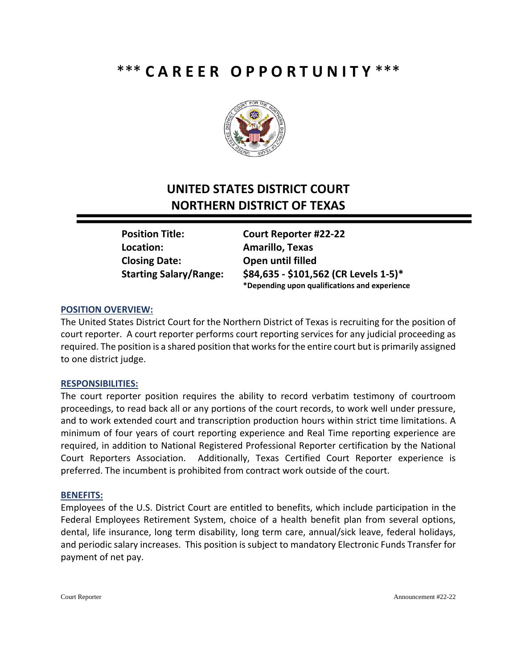# \*\*\* **C A R E E R O P P O R T U N I T Y** \*\*\*



## **UNITED STATES DISTRICT COURT NORTHERN DISTRICT OF TEXAS**

**Location: Amarillo, Texas Closing Date: Open until filled**

**Position Title: Court Reporter #22-22 Starting Salary/Range: \$84,635 - \$101,562 (CR Levels 1-5)\* \*Depending upon qualifications and experience**

### **POSITION OVERVIEW:**

The United States District Court for the Northern District of Texas is recruiting for the position of court reporter. A court reporter performs court reporting services for any judicial proceeding as required. The position is a shared position that works for the entire court but is primarily assigned to one district judge.

### **RESPONSIBILITIES:**

The court reporter position requires the ability to record verbatim testimony of courtroom proceedings, to read back all or any portions of the court records, to work well under pressure, and to work extended court and transcription production hours within strict time limitations. A minimum of four years of court reporting experience and Real Time reporting experience are required, in addition to National Registered Professional Reporter certification by the National Court Reporters Association. Additionally, Texas Certified Court Reporter experience is preferred. The incumbent is prohibited from contract work outside of the court.

#### **BENEFITS:**

Employees of the U.S. District Court are entitled to benefits, which include participation in the Federal Employees Retirement System, choice of a health benefit plan from several options, dental, life insurance, long term disability, long term care, annual/sick leave, federal holidays, and periodic salary increases. This position is subject to mandatory Electronic Funds Transfer for payment of net pay.